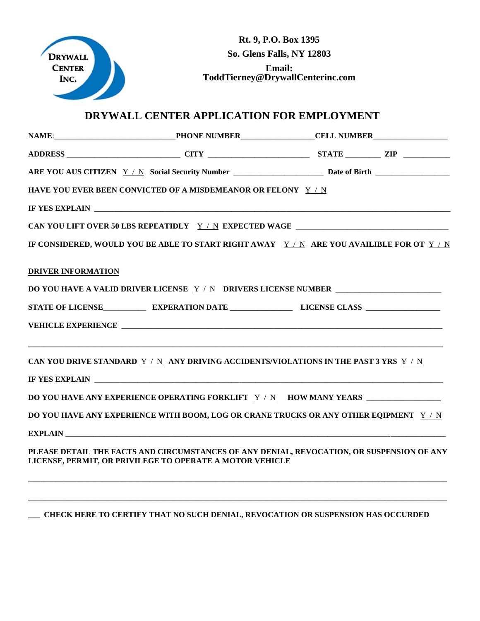

**Rt. 9, P.O. Box 1395 So. Glens Falls, NY 12803 Email: ToddTierney@DrywallCenterinc.com**

## **DRYWALL CENTER APPLICATION FOR EMPLOYMENT**

|                           | HAVE YOU EVER BEEN CONVICTED OF A MISDEMEANOR OR FELONY Y / N                                                                                         |  |
|---------------------------|-------------------------------------------------------------------------------------------------------------------------------------------------------|--|
|                           |                                                                                                                                                       |  |
|                           |                                                                                                                                                       |  |
|                           | IF CONSIDERED, WOULD YOU BE ABLE TO START RIGHT AWAY Y / N ARE YOU AVAILIBLE FOR OT Y / N                                                             |  |
| <b>DRIVER INFORMATION</b> |                                                                                                                                                       |  |
|                           |                                                                                                                                                       |  |
|                           |                                                                                                                                                       |  |
|                           |                                                                                                                                                       |  |
|                           | CAN YOU DRIVE STANDARD Y / N ANY DRIVING ACCIDENTS/VIOLATIONS IN THE PAST 3 YRS Y / N                                                                 |  |
|                           | <b>IF YES EXPLAIN</b>                                                                                                                                 |  |
|                           | DO YOU HAVE ANY EXPERIENCE OPERATING FORKLIFT Y / N HOW MANY YEARS _____________                                                                      |  |
|                           | DO YOU HAVE ANY EXPERIENCE WITH BOOM, LOG OR CRANE TRUCKS OR ANY OTHER EQIPMENT Y/N                                                                   |  |
|                           |                                                                                                                                                       |  |
|                           | PLEASE DETAIL THE FACTS AND CIRCUMSTANCES OF ANY DENIAL, REVOCATION, OR SUSPENSION OF ANY<br>LICENSE, PERMIT, OR PRIVILEGE TO OPERATE A MOTOR VEHICLE |  |
|                           |                                                                                                                                                       |  |

## **\_\_\_ CHECK HERE TO CERTIFY THAT NO SUCH DENIAL, REVOCATION OR SUSPENSION HAS OCCURDED**

**\_\_\_\_\_\_\_\_\_\_\_\_\_\_\_\_\_\_\_\_\_\_\_\_\_\_\_\_\_\_\_\_\_\_\_\_\_\_\_\_\_\_\_\_\_\_\_\_\_\_\_\_\_\_\_\_\_\_\_\_\_\_\_\_\_\_\_\_\_\_\_\_\_\_\_\_\_\_\_\_\_\_\_\_\_\_\_\_\_\_\_\_\_\_\_\_\_\_\_\_\_\_\_\_\_\_\_**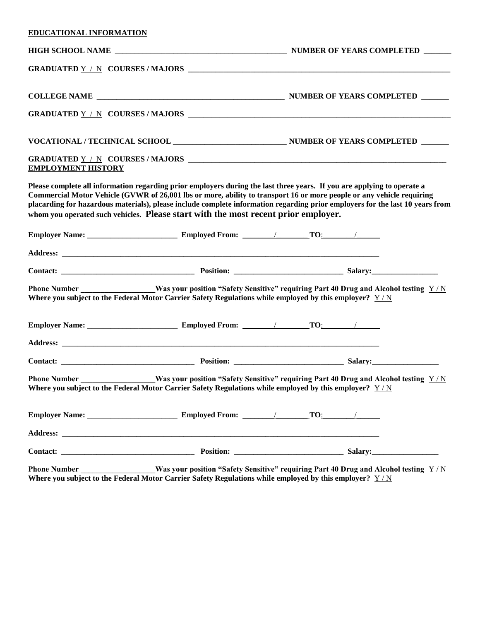| EDUCATIONAL INFORMATION   |                                                                                                                                                                                                                                                                                                                                                                                                                                                                         |  |  |  |  |
|---------------------------|-------------------------------------------------------------------------------------------------------------------------------------------------------------------------------------------------------------------------------------------------------------------------------------------------------------------------------------------------------------------------------------------------------------------------------------------------------------------------|--|--|--|--|
|                           |                                                                                                                                                                                                                                                                                                                                                                                                                                                                         |  |  |  |  |
|                           |                                                                                                                                                                                                                                                                                                                                                                                                                                                                         |  |  |  |  |
|                           |                                                                                                                                                                                                                                                                                                                                                                                                                                                                         |  |  |  |  |
|                           |                                                                                                                                                                                                                                                                                                                                                                                                                                                                         |  |  |  |  |
|                           |                                                                                                                                                                                                                                                                                                                                                                                                                                                                         |  |  |  |  |
| <b>EMPLOYMENT HISTORY</b> |                                                                                                                                                                                                                                                                                                                                                                                                                                                                         |  |  |  |  |
|                           | Please complete all information regarding prior employers during the last three years. If you are applying to operate a<br>Commercial Motor Vehicle (GVWR of 26,001 lbs or more, ability to transport 16 or more people or any vehicle requiring<br>placarding for hazardous materials), please include complete information regarding prior employers for the last 10 years from<br>whom you operated such vehicles. Please start with the most recent prior employer. |  |  |  |  |
|                           |                                                                                                                                                                                                                                                                                                                                                                                                                                                                         |  |  |  |  |
|                           |                                                                                                                                                                                                                                                                                                                                                                                                                                                                         |  |  |  |  |
|                           |                                                                                                                                                                                                                                                                                                                                                                                                                                                                         |  |  |  |  |
| <b>Phone Number</b>       | <b>EXECUTE:</b> Was your position "Safety Sensitive" requiring Part 40 Drug and Alcohol testing $Y/N$<br>Where you subject to the Federal Motor Carrier Safety Regulations while employed by this employer? $Y/N$                                                                                                                                                                                                                                                       |  |  |  |  |
|                           |                                                                                                                                                                                                                                                                                                                                                                                                                                                                         |  |  |  |  |
|                           |                                                                                                                                                                                                                                                                                                                                                                                                                                                                         |  |  |  |  |
|                           |                                                                                                                                                                                                                                                                                                                                                                                                                                                                         |  |  |  |  |
| <b>Phone Number</b>       | _Was your position "Safety Sensitive" requiring Part 40 Drug and Alcohol testing $\sqrt{\frac{Y}{N}}$<br>Where you subject to the Federal Motor Carrier Safety Regulations while employed by this employer? $Y/N$                                                                                                                                                                                                                                                       |  |  |  |  |
|                           |                                                                                                                                                                                                                                                                                                                                                                                                                                                                         |  |  |  |  |
|                           |                                                                                                                                                                                                                                                                                                                                                                                                                                                                         |  |  |  |  |
|                           |                                                                                                                                                                                                                                                                                                                                                                                                                                                                         |  |  |  |  |
|                           | Phone Number ______________Was your position "Safety Sensitive" requiring Part 40 Drug and Alcohol testing Y/N<br>Where you subject to the Federal Motor Carrier Safety Regulations while employed by this employer? $Y/N$                                                                                                                                                                                                                                              |  |  |  |  |